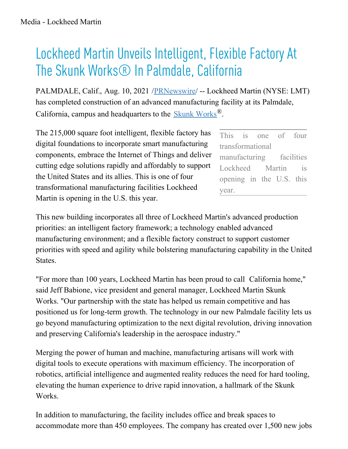## Lockheed Martin Unveils Intelligent, Flexible Factory At The Skunk Works® In Palmdale, California

PALMDALE, Calif., Aug. 10, 2021 [/PRNewswire](http://www.prnewswire.com/)/ -- Lockheed Martin (NYSE: LMT) has completed construction of an advanced manufacturing facility at its Palmdale, California, campus and headquarters to the Skunk [Works](https://c212.net/c/link/?t=0&l=en&o=3255682-1&h=2000942223&u=https%3A%2F%2Fwww.lockheedmartin.com%2Fen-us%2Fwho-we-are%2Fbusiness-areas%2Faeronautics%2Fskunkworks.html&a=Skunk+Works)®.

The 215,000 square foot intelligent, flexible factory has digital foundations to incorporate smart manufacturing components, embrace the Internet of Things and deliver cutting edge solutions rapidly and affordably to support the United States and its allies. This is one of four transformational manufacturing facilities Lockheed Martin is opening in the U.S. this year.

This is one of four transformational manufacturing facilities Lockheed Martin is opening in the U.S. this year.

This new building incorporates all three of Lockheed Martin's advanced production priorities: an intelligent factory framework; a technology enabled advanced manufacturing environment; and a flexible factory construct to support customer priorities with speed and agility while bolstering manufacturing capability in the United States.

"For more than 100 years, Lockheed Martin has been proud to call California home," said Jeff Babione, vice president and general manager, Lockheed Martin Skunk Works. "Our partnership with the state has helped us remain competitive and has positioned us for long-term growth. The technology in our new Palmdale facility lets us go beyond manufacturing optimization to the next digital revolution, driving innovation and preserving California's leadership in the aerospace industry."

Merging the power of human and machine, manufacturing artisans will work with digital tools to execute operations with maximum efficiency. The incorporation of robotics, artificial intelligence and augmented reality reduces the need for hard tooling, elevating the human experience to drive rapid innovation, a hallmark of the Skunk Works.

In addition to manufacturing, the facility includes office and break spaces to accommodate more than 450 employees. The company has created over 1,500 new jobs